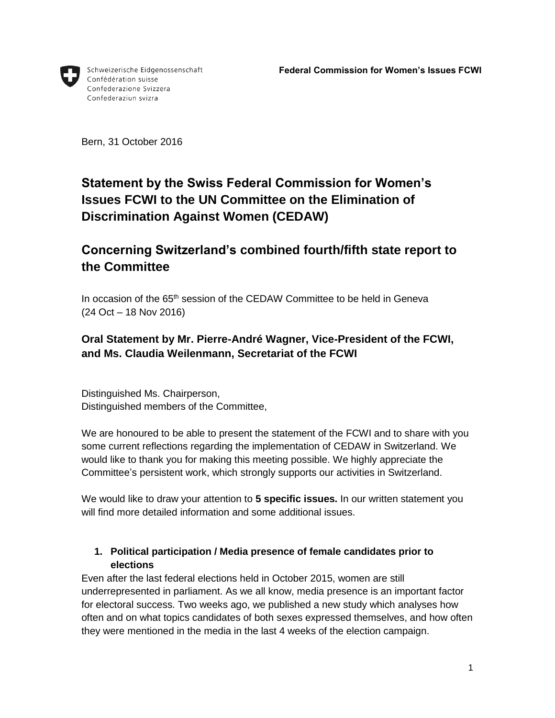

Schweizerische Eidgenossenschaft Confédération suisse Confederazione Svizzera Confederaziun svizra

Bern, 31 October 2016

# **Statement by the Swiss Federal Commission for Women's Issues FCWI to the UN Committee on the Elimination of Discrimination Against Women (CEDAW)**

# **Concerning Switzerland's combined fourth/fifth state report to the Committee**

In occasion of the 65<sup>th</sup> session of the CEDAW Committee to be held in Geneva (24 Oct – 18 Nov 2016)

# **Oral Statement by Mr. Pierre-André Wagner, Vice-President of the FCWI, and Ms. Claudia Weilenmann, Secretariat of the FCWI**

Distinguished Ms. Chairperson, Distinguished members of the Committee,

We are honoured to be able to present the statement of the FCWI and to share with you some current reflections regarding the implementation of CEDAW in Switzerland. We would like to thank you for making this meeting possible. We highly appreciate the Committee's persistent work, which strongly supports our activities in Switzerland.

We would like to draw your attention to **5 specific issues.** In our written statement you will find more detailed information and some additional issues.

# **1. Political participation / Media presence of female candidates prior to elections**

Even after the last federal elections held in October 2015, women are still underrepresented in parliament. As we all know, media presence is an important factor for electoral success. Two weeks ago, we published a new study which analyses how often and on what topics candidates of both sexes expressed themselves, and how often they were mentioned in the media in the last 4 weeks of the election campaign.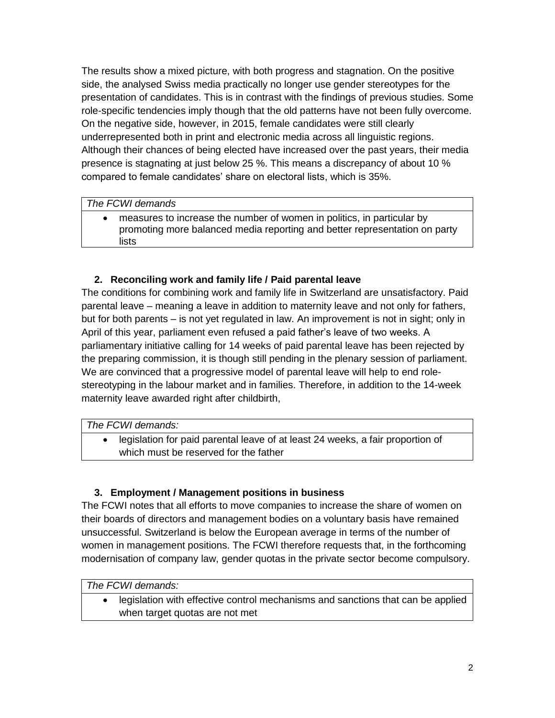The results show a mixed picture, with both progress and stagnation. On the positive side, the analysed Swiss media practically no longer use gender stereotypes for the presentation of candidates. This is in contrast with the findings of previous studies. Some role-specific tendencies imply though that the old patterns have not been fully overcome. On the negative side, however, in 2015, female candidates were still clearly underrepresented both in print and electronic media across all linguistic regions. Although their chances of being elected have increased over the past years, their media presence is stagnating at just below 25 %. This means a discrepancy of about 10 % compared to female candidates' share on electoral lists, which is 35%.

#### *The FCWI demands*

 measures to increase the number of women in politics, in particular by promoting more balanced media reporting and better representation on party lists

# **2. Reconciling work and family life / Paid parental leave**

The conditions for combining work and family life in Switzerland are unsatisfactory. Paid parental leave – meaning a leave in addition to maternity leave and not only for fathers, but for both parents – is not yet regulated in law. An improvement is not in sight; only in April of this year, parliament even refused a paid father's leave of two weeks. A parliamentary initiative calling for 14 weeks of paid parental leave has been rejected by the preparing commission, it is though still pending in the plenary session of parliament. We are convinced that a progressive model of parental leave will help to end rolestereotyping in the labour market and in families. Therefore, in addition to the 14-week maternity leave awarded right after childbirth,

#### *The FCWI demands:*

 legislation for paid parental leave of at least 24 weeks, a fair proportion of which must be reserved for the father

#### **3. Employment / Management positions in business**

The FCWI notes that all efforts to move companies to increase the share of women on their boards of directors and management bodies on a voluntary basis have remained unsuccessful. Switzerland is below the European average in terms of the number of women in management positions. The FCWI therefore requests that, in the forthcoming modernisation of company law, gender quotas in the private sector become compulsory.

*The FCWI demands:*

 legislation with effective control mechanisms and sanctions that can be applied when target quotas are not met